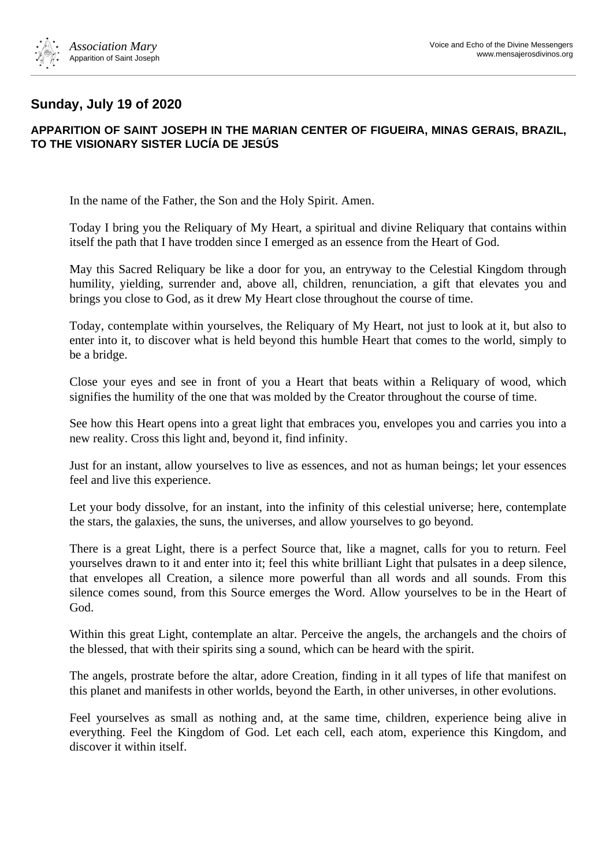

## **Sunday, July 19 of 2020**

## **APPARITION OF SAINT JOSEPH IN THE MARIAN CENTER OF FIGUEIRA, MINAS GERAIS, BRAZIL, TO THE VISIONARY SISTER LUCÍA DE JESÚS**

In the name of the Father, the Son and the Holy Spirit. Amen.

Today I bring you the Reliquary of My Heart, a spiritual and divine Reliquary that contains within itself the path that I have trodden since I emerged as an essence from the Heart of God.

May this Sacred Reliquary be like a door for you, an entryway to the Celestial Kingdom through humility, yielding, surrender and, above all, children, renunciation, a gift that elevates you and brings you close to God, as it drew My Heart close throughout the course of time.

Today, contemplate within yourselves, the Reliquary of My Heart, not just to look at it, but also to enter into it, to discover what is held beyond this humble Heart that comes to the world, simply to be a bridge.

Close your eyes and see in front of you a Heart that beats within a Reliquary of wood, which signifies the humility of the one that was molded by the Creator throughout the course of time.

See how this Heart opens into a great light that embraces you, envelopes you and carries you into a new reality. Cross this light and, beyond it, find infinity.

Just for an instant, allow yourselves to live as essences, and not as human beings; let your essences feel and live this experience.

Let your body dissolve, for an instant, into the infinity of this celestial universe; here, contemplate the stars, the galaxies, the suns, the universes, and allow yourselves to go beyond.

There is a great Light, there is a perfect Source that, like a magnet, calls for you to return. Feel yourselves drawn to it and enter into it; feel this white brilliant Light that pulsates in a deep silence, that envelopes all Creation, a silence more powerful than all words and all sounds. From this silence comes sound, from this Source emerges the Word. Allow yourselves to be in the Heart of God.

Within this great Light, contemplate an altar. Perceive the angels, the archangels and the choirs of the blessed, that with their spirits sing a sound, which can be heard with the spirit.

The angels, prostrate before the altar, adore Creation, finding in it all types of life that manifest on this planet and manifests in other worlds, beyond the Earth, in other universes, in other evolutions.

Feel yourselves as small as nothing and, at the same time, children, experience being alive in everything. Feel the Kingdom of God. Let each cell, each atom, experience this Kingdom, and discover it within itself.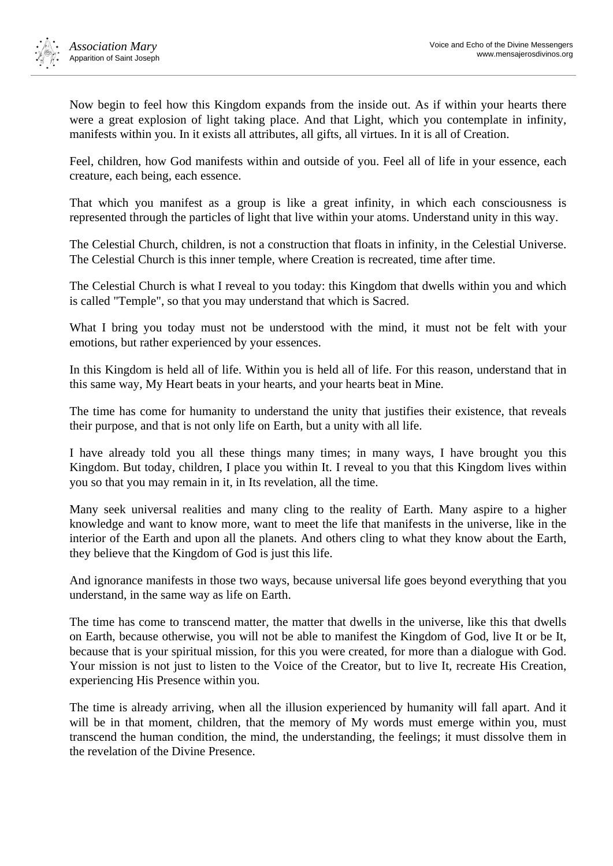

Now begin to feel how this Kingdom expands from the inside out. As if within your hearts there were a great explosion of light taking place. And that Light, which you contemplate in infinity, manifests within you. In it exists all attributes, all gifts, all virtues. In it is all of Creation.

Feel, children, how God manifests within and outside of you. Feel all of life in your essence, each creature, each being, each essence.

That which you manifest as a group is like a great infinity, in which each consciousness is represented through the particles of light that live within your atoms. Understand unity in this way.

The Celestial Church, children, is not a construction that floats in infinity, in the Celestial Universe. The Celestial Church is this inner temple, where Creation is recreated, time after time.

The Celestial Church is what I reveal to you today: this Kingdom that dwells within you and which is called "Temple", so that you may understand that which is Sacred.

What I bring you today must not be understood with the mind, it must not be felt with your emotions, but rather experienced by your essences.

In this Kingdom is held all of life. Within you is held all of life. For this reason, understand that in this same way, My Heart beats in your hearts, and your hearts beat in Mine.

The time has come for humanity to understand the unity that justifies their existence, that reveals their purpose, and that is not only life on Earth, but a unity with all life.

I have already told you all these things many times; in many ways, I have brought you this Kingdom. But today, children, I place you within It. I reveal to you that this Kingdom lives within you so that you may remain in it, in Its revelation, all the time.

Many seek universal realities and many cling to the reality of Earth. Many aspire to a higher knowledge and want to know more, want to meet the life that manifests in the universe, like in the interior of the Earth and upon all the planets. And others cling to what they know about the Earth, they believe that the Kingdom of God is just this life.

And ignorance manifests in those two ways, because universal life goes beyond everything that you understand, in the same way as life on Earth.

The time has come to transcend matter, the matter that dwells in the universe, like this that dwells on Earth, because otherwise, you will not be able to manifest the Kingdom of God, live It or be It, because that is your spiritual mission, for this you were created, for more than a dialogue with God. Your mission is not just to listen to the Voice of the Creator, but to live It, recreate His Creation, experiencing His Presence within you.

The time is already arriving, when all the illusion experienced by humanity will fall apart. And it will be in that moment, children, that the memory of My words must emerge within you, must transcend the human condition, the mind, the understanding, the feelings; it must dissolve them in the revelation of the Divine Presence.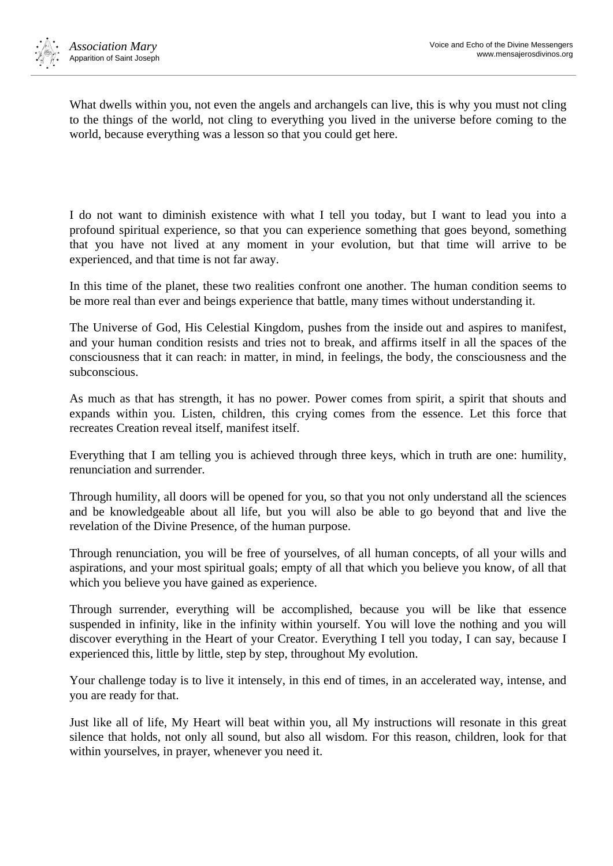

What dwells within you, not even the angels and archangels can live, this is why you must not cling to the things of the world, not cling to everything you lived in the universe before coming to the world, because everything was a lesson so that you could get here.

I do not want to diminish existence with what I tell you today, but I want to lead you into a profound spiritual experience, so that you can experience something that goes beyond, something that you have not lived at any moment in your evolution, but that time will arrive to be experienced, and that time is not far away.

In this time of the planet, these two realities confront one another. The human condition seems to be more real than ever and beings experience that battle, many times without understanding it.

The Universe of God, His Celestial Kingdom, pushes from the inside out and aspires to manifest, and your human condition resists and tries not to break, and affirms itself in all the spaces of the consciousness that it can reach: in matter, in mind, in feelings, the body, the consciousness and the subconscious.

As much as that has strength, it has no power. Power comes from spirit, a spirit that shouts and expands within you. Listen, children, this crying comes from the essence. Let this force that recreates Creation reveal itself, manifest itself.

Everything that I am telling you is achieved through three keys, which in truth are one: humility, renunciation and surrender.

Through humility, all doors will be opened for you, so that you not only understand all the sciences and be knowledgeable about all life, but you will also be able to go beyond that and live the revelation of the Divine Presence, of the human purpose.

Through renunciation, you will be free of yourselves, of all human concepts, of all your wills and aspirations, and your most spiritual goals; empty of all that which you believe you know, of all that which you believe you have gained as experience.

Through surrender, everything will be accomplished, because you will be like that essence suspended in infinity, like in the infinity within yourself. You will love the nothing and you will discover everything in the Heart of your Creator. Everything I tell you today, I can say, because I experienced this, little by little, step by step, throughout My evolution.

Your challenge today is to live it intensely, in this end of times, in an accelerated way, intense, and you are ready for that.

Just like all of life, My Heart will beat within you, all My instructions will resonate in this great silence that holds, not only all sound, but also all wisdom. For this reason, children, look for that within yourselves, in prayer, whenever you need it.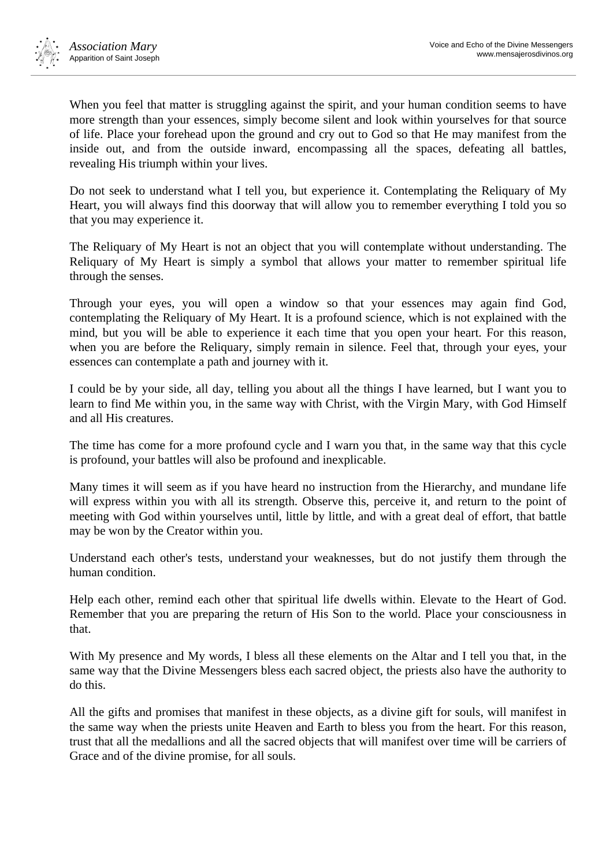

When you feel that matter is struggling against the spirit, and your human condition seems to have more strength than your essences, simply become silent and look within yourselves for that source of life. Place your forehead upon the ground and cry out to God so that He may manifest from the inside out, and from the outside inward, encompassing all the spaces, defeating all battles, revealing His triumph within your lives.

Do not seek to understand what I tell you, but experience it. Contemplating the Reliquary of My Heart, you will always find this doorway that will allow you to remember everything I told you so that you may experience it.

The Reliquary of My Heart is not an object that you will contemplate without understanding. The Reliquary of My Heart is simply a symbol that allows your matter to remember spiritual life through the senses.

Through your eyes, you will open a window so that your essences may again find God, contemplating the Reliquary of My Heart. It is a profound science, which is not explained with the mind, but you will be able to experience it each time that you open your heart. For this reason, when you are before the Reliquary, simply remain in silence. Feel that, through your eyes, your essences can contemplate a path and journey with it.

I could be by your side, all day, telling you about all the things I have learned, but I want you to learn to find Me within you, in the same way with Christ, with the Virgin Mary, with God Himself and all His creatures.

The time has come for a more profound cycle and I warn you that, in the same way that this cycle is profound, your battles will also be profound and inexplicable.

Many times it will seem as if you have heard no instruction from the Hierarchy, and mundane life will express within you with all its strength. Observe this, perceive it, and return to the point of meeting with God within yourselves until, little by little, and with a great deal of effort, that battle may be won by the Creator within you.

Understand each other's tests, understand your weaknesses, but do not justify them through the human condition.

Help each other, remind each other that spiritual life dwells within. Elevate to the Heart of God. Remember that you are preparing the return of His Son to the world. Place your consciousness in that.

With My presence and My words, I bless all these elements on the Altar and I tell you that, in the same way that the Divine Messengers bless each sacred object, the priests also have the authority to do this.

All the gifts and promises that manifest in these objects, as a divine gift for souls, will manifest in the same way when the priests unite Heaven and Earth to bless you from the heart. For this reason, trust that all the medallions and all the sacred objects that will manifest over time will be carriers of Grace and of the divine promise, for all souls.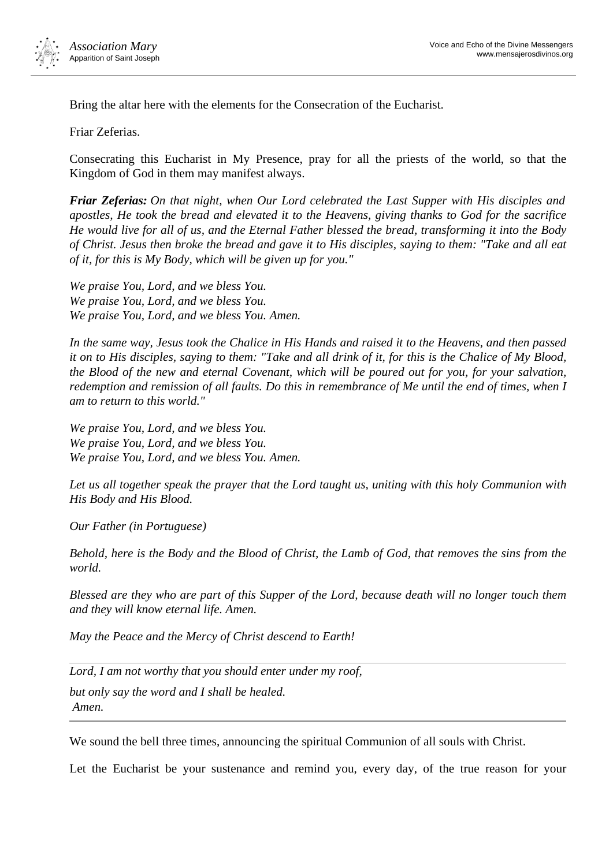

Bring the altar here with the elements for the Consecration of the Eucharist.

Friar Zeferias.

Consecrating this Eucharist in My Presence, pray for all the priests of the world, so that the Kingdom of God in them may manifest always.

*Friar Zeferias: On that night, when Our Lord celebrated the Last Supper with His disciples and apostles, He took the bread and elevated it to the Heavens, giving thanks to God for the sacrifice He would live for all of us, and the Eternal Father blessed the bread, transforming it into the Body of Christ. Jesus then broke the bread and gave it to His disciples, saying to them: "Take and all eat of it, for this is My Body, which will be given up for you."*

*We praise You, Lord, and we bless You. We praise You, Lord, and we bless You. We praise You, Lord, and we bless You. Amen.*

*In the same way, Jesus took the Chalice in His Hands and raised it to the Heavens, and then passed it on to His disciples, saying to them: "Take and all drink of it, for this is the Chalice of My Blood, the Blood of the new and eternal Covenant, which will be poured out for you, for your salvation,*  redemption and remission of all faults. Do this in remembrance of Me until the end of times, when I *am to return to this world."*

*We praise You, Lord, and we bless You. We praise You, Lord, and we bless You. We praise You, Lord, and we bless You. Amen.*

*Let us all together speak the prayer that the Lord taught us, uniting with this holy Communion with His Body and His Blood.*

*Our Father (in Portuguese)*

*Behold, here is the Body and the Blood of Christ, the Lamb of God, that removes the sins from the world.*

*Blessed are they who are part of this Supper of the Lord, because death will no longer touch them and they will know eternal life. Amen.*

*May the Peace and the Mercy of Christ descend to Earth!*

*Lord, I am not worthy that you should enter under my roof,*

*but only say the word and I shall be healed. Amen.*

We sound the bell three times, announcing the spiritual Communion of all souls with Christ.

Let the Eucharist be your sustenance and remind you, every day, of the true reason for your